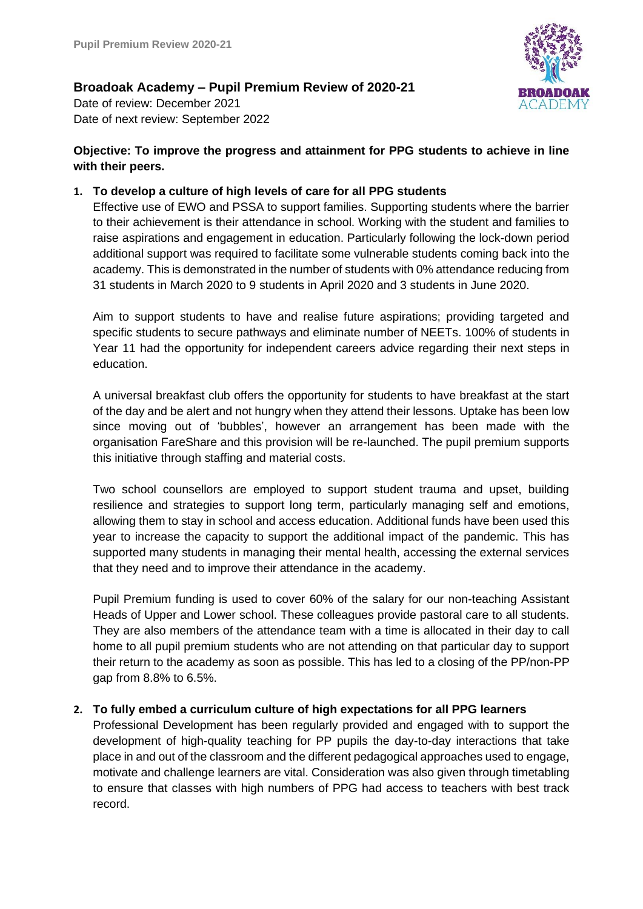

**Broadoak Academy – Pupil Premium Review of 2020-21**

Date of review: December 2021 Date of next review: September 2022

# **Objective: To improve the progress and attainment for PPG students to achieve in line with their peers.**

# **1. To develop a culture of high levels of care for all PPG students**

Effective use of EWO and PSSA to support families. Supporting students where the barrier to their achievement is their attendance in school. Working with the student and families to raise aspirations and engagement in education. Particularly following the lock-down period additional support was required to facilitate some vulnerable students coming back into the academy. This is demonstrated in the number of students with 0% attendance reducing from 31 students in March 2020 to 9 students in April 2020 and 3 students in June 2020.

Aim to support students to have and realise future aspirations; providing targeted and specific students to secure pathways and eliminate number of NEETs. 100% of students in Year 11 had the opportunity for independent careers advice regarding their next steps in education.

A universal breakfast club offers the opportunity for students to have breakfast at the start of the day and be alert and not hungry when they attend their lessons. Uptake has been low since moving out of 'bubbles', however an arrangement has been made with the organisation FareShare and this provision will be re-launched. The pupil premium supports this initiative through staffing and material costs.

Two school counsellors are employed to support student trauma and upset, building resilience and strategies to support long term, particularly managing self and emotions, allowing them to stay in school and access education. Additional funds have been used this year to increase the capacity to support the additional impact of the pandemic. This has supported many students in managing their mental health, accessing the external services that they need and to improve their attendance in the academy.

Pupil Premium funding is used to cover 60% of the salary for our non-teaching Assistant Heads of Upper and Lower school. These colleagues provide pastoral care to all students. They are also members of the attendance team with a time is allocated in their day to call home to all pupil premium students who are not attending on that particular day to support their return to the academy as soon as possible. This has led to a closing of the PP/non-PP gap from 8.8% to 6.5%.

# **2. To fully embed a curriculum culture of high expectations for all PPG learners**

Professional Development has been regularly provided and engaged with to support the development of high-quality teaching for PP pupils the day-to-day interactions that take place in and out of the classroom and the different pedagogical approaches used to engage, motivate and challenge learners are vital. Consideration was also given through timetabling to ensure that classes with high numbers of PPG had access to teachers with best track record.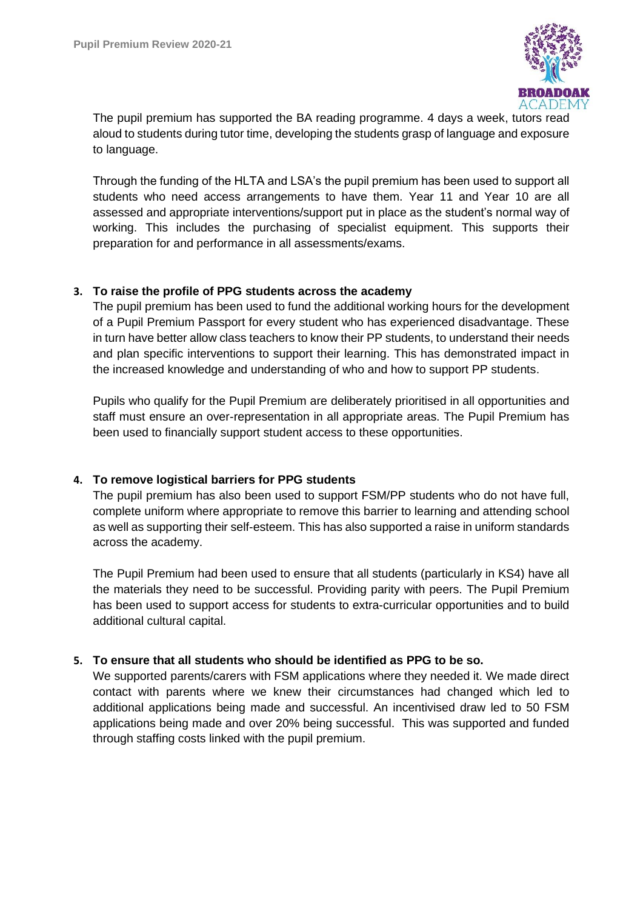

The pupil premium has supported the BA reading programme. 4 days a week, tutors read aloud to students during tutor time, developing the students grasp of language and exposure to language.

Through the funding of the HLTA and LSA's the pupil premium has been used to support all students who need access arrangements to have them. Year 11 and Year 10 are all assessed and appropriate interventions/support put in place as the student's normal way of working. This includes the purchasing of specialist equipment. This supports their preparation for and performance in all assessments/exams.

### **3. To raise the profile of PPG students across the academy**

The pupil premium has been used to fund the additional working hours for the development of a Pupil Premium Passport for every student who has experienced disadvantage. These in turn have better allow class teachers to know their PP students, to understand their needs and plan specific interventions to support their learning. This has demonstrated impact in the increased knowledge and understanding of who and how to support PP students.

Pupils who qualify for the Pupil Premium are deliberately prioritised in all opportunities and staff must ensure an over-representation in all appropriate areas. The Pupil Premium has been used to financially support student access to these opportunities.

### **4. To remove logistical barriers for PPG students**

The pupil premium has also been used to support FSM/PP students who do not have full, complete uniform where appropriate to remove this barrier to learning and attending school as well as supporting their self-esteem. This has also supported a raise in uniform standards across the academy.

The Pupil Premium had been used to ensure that all students (particularly in KS4) have all the materials they need to be successful. Providing parity with peers. The Pupil Premium has been used to support access for students to extra-curricular opportunities and to build additional cultural capital.

#### **5. To ensure that all students who should be identified as PPG to be so.**

We supported parents/carers with FSM applications where they needed it. We made direct contact with parents where we knew their circumstances had changed which led to additional applications being made and successful. An incentivised draw led to 50 FSM applications being made and over 20% being successful. This was supported and funded through staffing costs linked with the pupil premium.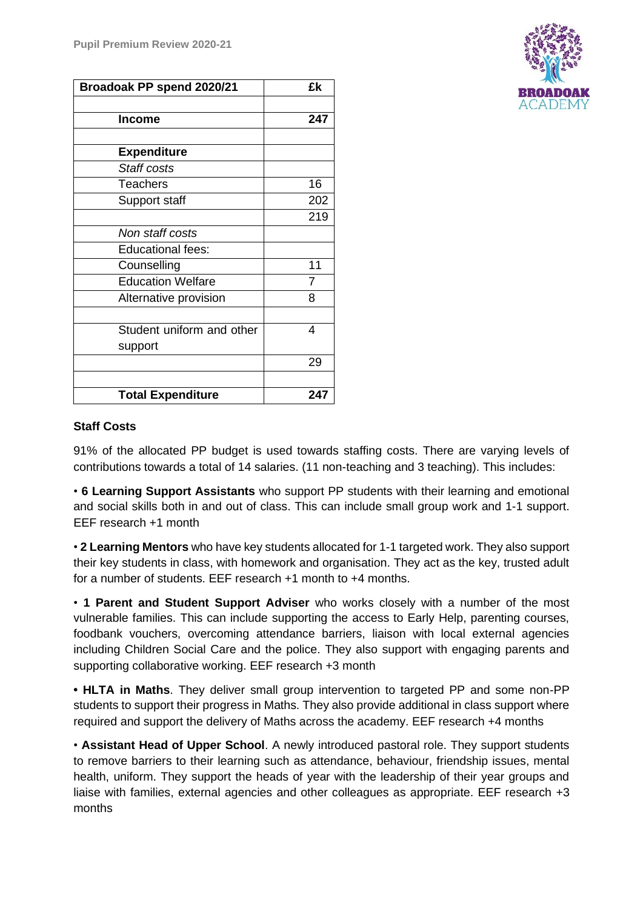| Broadoak PP spend 2020/21 | £k             |
|---------------------------|----------------|
|                           |                |
| <b>Income</b>             | 247            |
|                           |                |
| <b>Expenditure</b>        |                |
| Staff costs               |                |
| <b>Teachers</b>           | 16             |
| Support staff             | 202            |
|                           | 219            |
| Non staff costs           |                |
| <b>Educational fees:</b>  |                |
| Counselling               | 11             |
| <b>Education Welfare</b>  | $\overline{7}$ |
| Alternative provision     | 8              |
|                           |                |
| Student uniform and other | 4              |
| support                   |                |
|                           | 29             |
|                           |                |
| <b>Total Expenditure</b>  | 247            |



91% of the allocated PP budget is used towards staffing costs. There are varying levels of contributions towards a total of 14 salaries. (11 non-teaching and 3 teaching). This includes:

• **6 Learning Support Assistants** who support PP students with their learning and emotional and social skills both in and out of class. This can include small group work and 1-1 support. EEF research +1 month

• **2 Learning Mentors** who have key students allocated for 1-1 targeted work. They also support their key students in class, with homework and organisation. They act as the key, trusted adult for a number of students. EEF research +1 month to +4 months.

• **1 Parent and Student Support Adviser** who works closely with a number of the most vulnerable families. This can include supporting the access to Early Help, parenting courses, foodbank vouchers, overcoming attendance barriers, liaison with local external agencies including Children Social Care and the police. They also support with engaging parents and supporting collaborative working. EEF research +3 month

**• HLTA in Maths**. They deliver small group intervention to targeted PP and some non-PP students to support their progress in Maths. They also provide additional in class support where required and support the delivery of Maths across the academy. EEF research +4 months

• **Assistant Head of Upper School**. A newly introduced pastoral role. They support students to remove barriers to their learning such as attendance, behaviour, friendship issues, mental health, uniform. They support the heads of year with the leadership of their year groups and liaise with families, external agencies and other colleagues as appropriate. EEF research +3 months